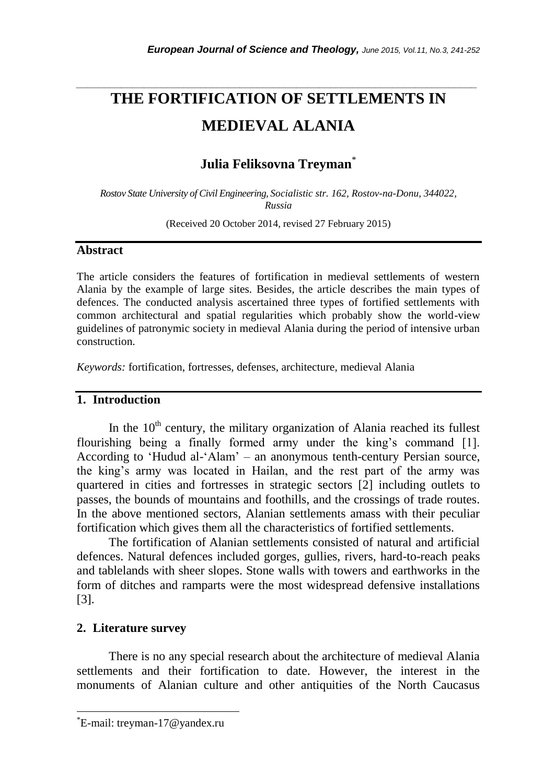# **THE FORTIFICATION OF SETTLEMENTS IN MEDIEVAL ALANIA**

*\_\_\_\_\_\_\_\_\_\_\_\_\_\_\_\_\_\_\_\_\_\_\_\_\_\_\_\_\_\_\_\_\_\_\_\_\_\_\_\_\_\_\_\_\_\_\_\_\_\_\_\_\_\_\_\_\_\_\_\_\_\_\_\_\_\_\_\_\_\_\_*

# **Julia Feliksovna Treyman**\*

*Rostov State University of Civil Engineering, Socialistic str. 162, Rostov-na-Donu, 344022, Russia*

(Received 20 October 2014, revised 27 February 2015)

#### **Abstract**

The article considers the features of fortification in medieval settlements of western Alania by the example of large sites. Besides, the article describes the main types of defences. The conducted analysis ascertained three types of fortified settlements with common architectural and spatial regularities which probably show the world-view guidelines of patronymic society in medieval Alania during the period of intensive urban construction.

*Keywords:* fortification, fortresses, defenses, architecture, medieval Alania

#### **1. Introduction**

In the  $10<sup>th</sup>$  century, the military organization of Alania reached its fullest flourishing being a finally formed army under the king's command [1]. According to 'Hudud al-'Alam' – an anonymous tenth-century Persian source, the king's army was located in Hailan, and the rest part of the army was quartered in cities and fortresses in strategic sectors [2] including outlets to passes, the bounds of mountains and foothills, and the crossings of trade routes. In the above mentioned sectors, Alanian settlements amass with their peculiar fortification which gives them all the characteristics of fortified settlements.

The fortification of Alanian settlements consisted of natural and artificial defences. Natural defences included gorges, gullies, rivers, hard-to-reach peaks and tablelands with sheer slopes. Stone walls with towers and earthworks in the form of ditches and ramparts were the most widespread defensive installations [3].

#### **2. Literature survey**

l

There is no any special research about the architecture of medieval Alania settlements and their fortification to date. However, the interest in the monuments of Alanian culture and other antiquities of the North Caucasus

<sup>\*</sup>E-mail: treyman-17@yandex.ru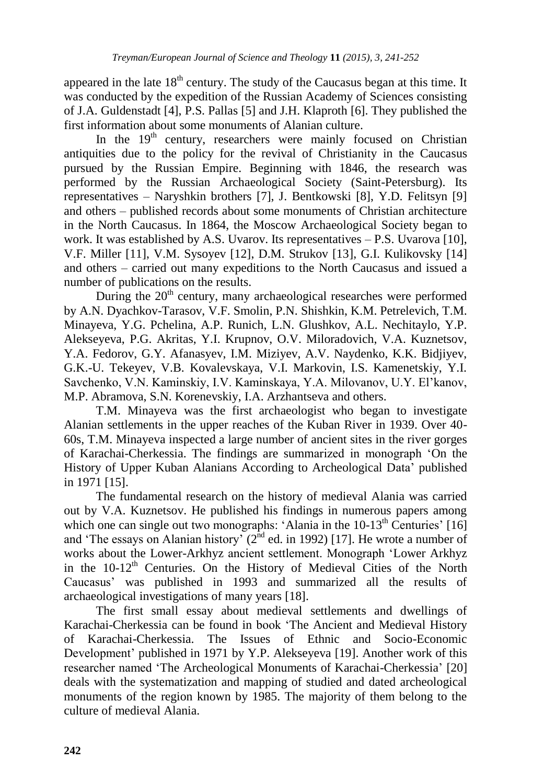appeared in the late  $18<sup>th</sup>$  century. The study of the Caucasus began at this time. It was conducted by the expedition of the Russian Academy of Sciences consisting of J.A. Guldenstadt [4], P.S. Pallas [5] and J.H. Klaproth [6]. They published the first information about some monuments of Alanian culture.

In the 19<sup>th</sup> century, researchers were mainly focused on Christian antiquities due to the policy for the revival of Christianity in the Caucasus pursued by the Russian Empire. Beginning with 1846, the research was performed by the Russian Archaeological Society (Saint-Petersburg). Its representatives – Naryshkin brothers [7], J. Bentkowski [8], Y.D. Felitsyn [9] and others – published records about some monuments of Christian architecture in the North Caucasus. In 1864, the Moscow Archaeological Society began to work. It was established by A.S. Uvarov. Its representatives – P.S. Uvarova [10], V.F. Miller [11], V.M. Sysoyev [12], D.M. Strukov [13], G.I. Kulikovsky [14] and others – carried out many expeditions to the North Caucasus and issued a number of publications on the results.

During the  $20<sup>th</sup>$  century, many archaeological researches were performed by A.N. Dyachkov-Tarasov, V.F. Smolin, P.N. Shishkin, K.M. Petrelevich, T.M. Minayeva, Y.G. Pchelina, A.P. Runich, L.N. Glushkov, A.L. Nechitaylo, Y.P. Alekseyeva, P.G. Akritas, Y.I. Krupnov, O.V. Miloradovich, V.A. Kuznetsov, Y.A. Fedorov, G.Y. Afanasyev, I.M. Miziyev, A.V. Naydenko, K.K. Bidjiyev, G.K.-U. Tekeyev, V.B. Kovalevskaya, V.I. Markovin, I.S. Kamenetskiy, Y.I. Savchenko, V.N. Kaminskiy, I.V. Kaminskaya, Y.A. Milovanov, U.Y. El'kanov, M.P. Abramova, S.N. Korenevskiy, I.A. Arzhantseva and others.

T.M. Minayeva was the first archaeologist who began to investigate Alanian settlements in the upper reaches of the Kuban River in 1939. Over 40- 60s, T.M. Minayeva inspected a large number of ancient sites in the river gorges of Karachai-Cherkessia. The findings are summarized in monograph 'On the History of Upper Kuban Alanians According to Archeological Data' published in 1971 [15].

The fundamental research on the history of medieval Alania was carried out by V.A. Kuznetsov. He published his findings in numerous papers among which one can single out two monographs: 'Alania in the  $10-13<sup>th</sup>$  Centuries' [16] and 'The essays on Alanian history'  $(2^{nd}$  ed. in 1992) [17]. He wrote a number of works about the Lower-Arkhyz ancient settlement. Monograph 'Lower Arkhyz in the 10-12<sup>th</sup> Centuries. On the History of Medieval Cities of the North Caucasus' was published in 1993 and summarized all the results of archaeological investigations of many years [18].

The first small essay about medieval settlements and dwellings of Karachai-Cherkessia can be found in book 'The Ancient and Medieval History of Karachai-Cherkessia. The Issues of Ethnic and Socio-Economic Development' published in 1971 by Y.P. Alekseyeva [19]. Another work of this researcher named 'The Archeological Monuments of Karachai-Cherkessia' [20] deals with the systematization and mapping of studied and dated archeological monuments of the region known by 1985. The majority of them belong to the culture of medieval Alania.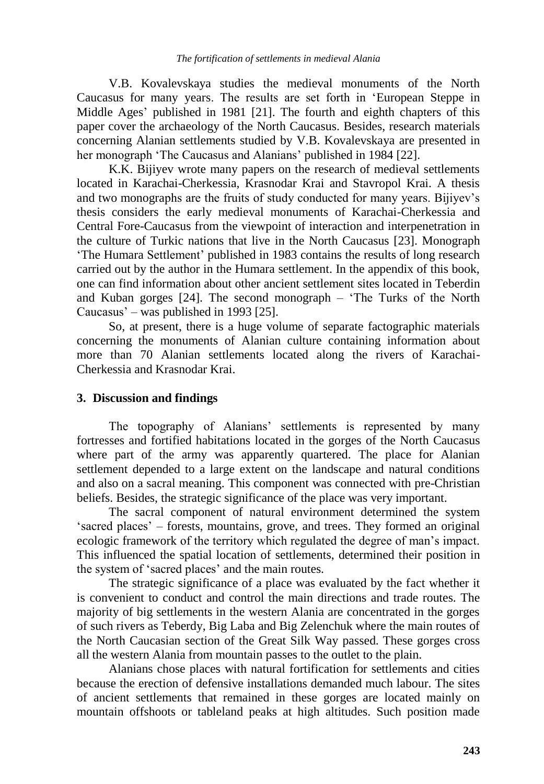V.B. Kovalevskaya studies the medieval monuments of the North Caucasus for many years. The results are set forth in 'European Steppe in Middle Ages' published in 1981 [21]. The fourth and eighth chapters of this paper cover the archaeology of the North Caucasus. Besides, research materials concerning Alanian settlements studied by V.B. Kovalevskaya are presented in her monograph 'The Caucasus and Alanians' published in 1984 [22].

K.K. Bijiyev wrote many papers on the research of medieval settlements located in Karachai-Cherkessia, Krasnodar Krai and Stavropol Krai. A thesis and two monographs are the fruits of study conducted for many years. Bijiyev's thesis considers the early medieval monuments of Karachai-Cherkessia and Central Fore-Caucasus from the viewpoint of interaction and interpenetration in the culture of Turkic nations that live in the North Caucasus [23]. Monograph 'The Humara Settlement' published in 1983 contains the results of long research carried out by the author in the Humara settlement. In the appendix of this book, one can find information about other ancient settlement sites located in Teberdin and Kuban gorges [24]. The second monograph – 'The Turks of the North Caucasus' – was published in 1993 [25].

So, at present, there is a huge volume of separate factographic materials concerning the monuments of Alanian culture containing information about more than 70 Alanian settlements located along the rivers of Karachai-Cherkessia and Krasnodar Krai.

## **3. Discussion and findings**

The topography of Alanians' settlements is represented by many fortresses and fortified habitations located in the gorges of the North Caucasus where part of the army was apparently quartered. The place for Alanian settlement depended to a large extent on the landscape and natural conditions and also on a sacral meaning. This component was connected with pre-Christian beliefs. Besides, the strategic significance of the place was very important.

The sacral component of natural environment determined the system 'sacred places' – forests, mountains, grove, and trees. They formed an original ecologic framework of the territory which regulated the degree of man's impact. This influenced the spatial location of settlements, determined their position in the system of 'sacred places' and the main routes.

The strategic significance of a place was evaluated by the fact whether it is convenient to conduct and control the main directions and trade routes. The majority of big settlements in the western Alania are concentrated in the gorges of such rivers as Teberdy, Big Laba and Big Zelenchuk where the main routes of the North Caucasian section of the Great Silk Way passed. These gorges cross all the western Alania from mountain passes to the outlet to the plain.

Alanians chose places with natural fortification for settlements and cities because the erection of defensive installations demanded much labour. The sites of ancient settlements that remained in these gorges are located mainly on mountain offshoots or tableland peaks at high altitudes. Such position made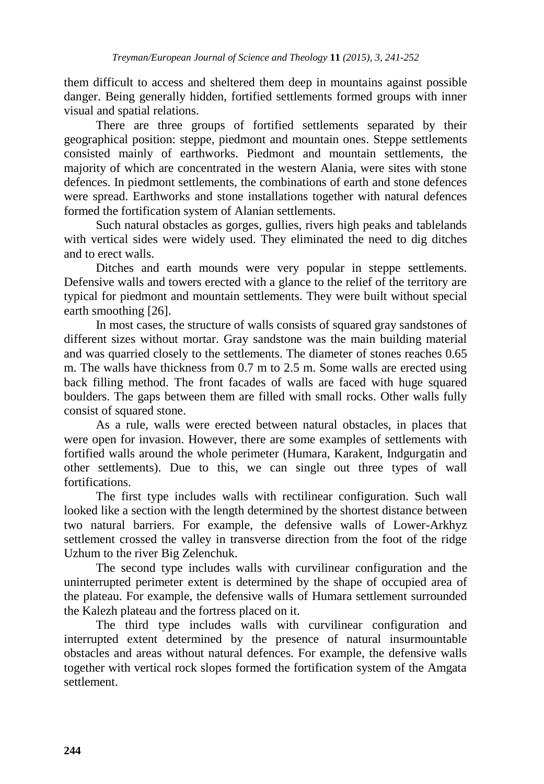them difficult to access and sheltered them deep in mountains against possible danger. Being generally hidden, fortified settlements formed groups with inner visual and spatial relations.

There are three groups of fortified settlements separated by their geographical position: steppe, piedmont and mountain ones. Steppe settlements consisted mainly of earthworks. Piedmont and mountain settlements, the majority of which are concentrated in the western Alania, were sites with stone defences. In piedmont settlements, the combinations of earth and stone defences were spread. Earthworks and stone installations together with natural defences formed the fortification system of Alanian settlements.

Such natural obstacles as gorges, gullies, rivers high peaks and tablelands with vertical sides were widely used. They eliminated the need to dig ditches and to erect walls.

Ditches and earth mounds were very popular in steppe settlements. Defensive walls and towers erected with a glance to the relief of the territory are typical for piedmont and mountain settlements. They were built without special earth smoothing [26].

In most cases, the structure of walls consists of squared gray sandstones of different sizes without mortar. Gray sandstone was the main building material and was quarried closely to the settlements. The diameter of stones reaches 0.65 m. The walls have thickness from 0.7 m to 2.5 m. Some walls are erected using back filling method. The front facades of walls are faced with huge squared boulders. The gaps between them are filled with small rocks. Other walls fully consist of squared stone.

As a rule, walls were erected between natural obstacles, in places that were open for invasion. However, there are some examples of settlements with fortified walls around the whole perimeter (Humara, Karakent, Indgurgatin and other settlements). Due to this, we can single out three types of wall fortifications.

The first type includes walls with rectilinear configuration. Such wall looked like a section with the length determined by the shortest distance between two natural barriers. For example, the defensive walls of Lower-Arkhyz settlement crossed the valley in transverse direction from the foot of the ridge Uzhum to the river Big Zelenchuk.

The second type includes walls with curvilinear configuration and the uninterrupted perimeter extent is determined by the shape of occupied area of the plateau. For example, the defensive walls of Humara settlement surrounded the Kalezh plateau and the fortress placed on it.

The third type includes walls with curvilinear configuration and interrupted extent determined by the presence of natural insurmountable obstacles and areas without natural defences. For example, the defensive walls together with vertical rock slopes formed the fortification system of the Amgata settlement.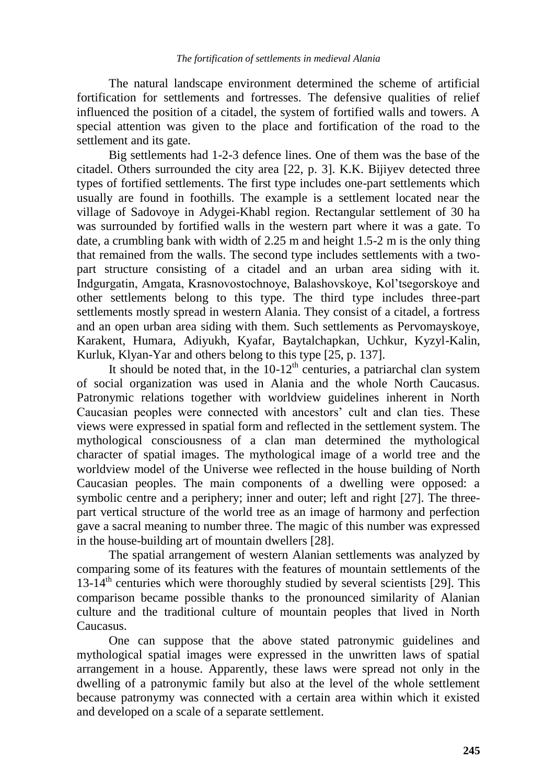The natural landscape environment determined the scheme of artificial fortification for settlements and fortresses. The defensive qualities of relief influenced the position of a citadel, the system of fortified walls and towers. A special attention was given to the place and fortification of the road to the settlement and its gate.

Big settlements had 1-2-3 defence lines. One of them was the base of the citadel. Others surrounded the city area [22, p. 3]. K.K. Bijiyev detected three types of fortified settlements. The first type includes one-part settlements which usually are found in foothills. The example is a settlement located near the village of Sadovoye in Adygei-Khabl region. Rectangular settlement of 30 ha was surrounded by fortified walls in the western part where it was a gate. To date, a crumbling bank with width of 2.25 m and height 1.5-2 m is the only thing that remained from the walls. The second type includes settlements with a twopart structure consisting of a citadel and an urban area siding with it. Indgurgatin, Amgata, Krasnovostochnoye, Balashovskoye, Kol'tsegorskoye and other settlements belong to this type. The third type includes three-part settlements mostly spread in western Alania. They consist of a citadel, a fortress and an open urban area siding with them. Such settlements as Pervomayskoye, Karakent, Humara, Adiyukh, Kyafar, Baytalchapkan, Uchkur, Kyzyl-Kalin, Kurluk, Klyan-Yar and others belong to this type [25, p. 137].

It should be noted that, in the  $10-12<sup>th</sup>$  centuries, a patriarchal clan system of social organization was used in Alania and the whole North Caucasus. Patronymic relations together with worldview guidelines inherent in North Caucasian peoples were connected with ancestors' cult and clan ties. These views were expressed in spatial form and reflected in the settlement system. The mythological consciousness of a clan man determined the mythological character of spatial images. The mythological image of a world tree and the worldview model of the Universe wee reflected in the house building of North Caucasian peoples. The main components of a dwelling were opposed: a symbolic centre and a periphery; inner and outer; left and right [27]. The threepart vertical structure of the world tree as an image of harmony and perfection gave a sacral meaning to number three. The magic of this number was expressed in the house-building art of mountain dwellers [28].

The spatial arrangement of western Alanian settlements was analyzed by comparing some of its features with the features of mountain settlements of the  $13-14<sup>th</sup>$  centuries which were thoroughly studied by several scientists [29]. This comparison became possible thanks to the pronounced similarity of Alanian culture and the traditional culture of mountain peoples that lived in North Caucasus.

One can suppose that the above stated patronymic guidelines and mythological spatial images were expressed in the unwritten laws of spatial arrangement in a house. Apparently, these laws were spread not only in the dwelling of a patronymic family but also at the level of the whole settlement because patronymy was connected with a certain area within which it existed and developed on a scale of a separate settlement.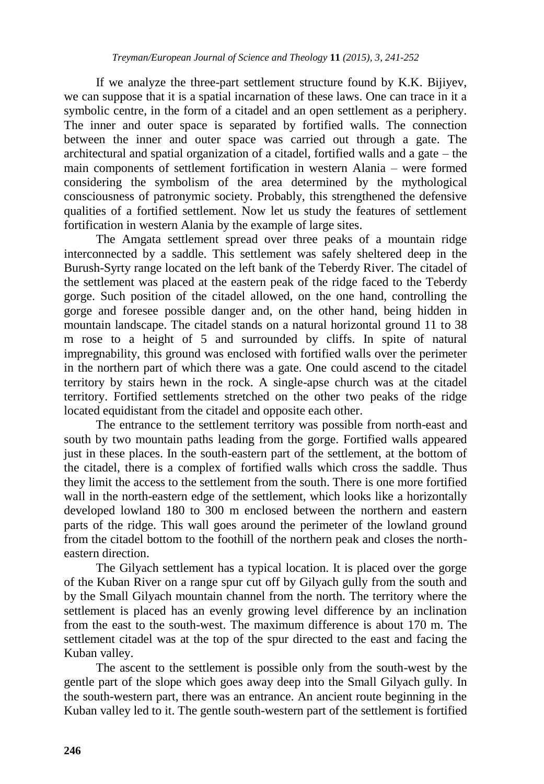If we analyze the three-part settlement structure found by K.K. Bijiyev, we can suppose that it is a spatial incarnation of these laws. One can trace in it a symbolic centre, in the form of a citadel and an open settlement as a periphery. The inner and outer space is separated by fortified walls. The connection between the inner and outer space was carried out through a gate. The architectural and spatial organization of a citadel, fortified walls and a gate – the main components of settlement fortification in western Alania – were formed considering the symbolism of the area determined by the mythological consciousness of patronymic society. Probably, this strengthened the defensive qualities of a fortified settlement. Now let us study the features of settlement fortification in western Alania by the example of large sites.

The Amgata settlement spread over three peaks of a mountain ridge interconnected by a saddle. This settlement was safely sheltered deep in the Burush-Syrty range located on the left bank of the Teberdy River. The citadel of the settlement was placed at the eastern peak of the ridge faced to the Teberdy gorge. Such position of the citadel allowed, on the one hand, controlling the gorge and foresee possible danger and, on the other hand, being hidden in mountain landscape. The citadel stands on a natural horizontal ground 11 to 38 m rose to a height of 5 and surrounded by cliffs. In spite of natural impregnability, this ground was enclosed with fortified walls over the perimeter in the northern part of which there was a gate. One could ascend to the citadel territory by stairs hewn in the rock. A single-apse church was at the citadel territory. Fortified settlements stretched on the other two peaks of the ridge located equidistant from the citadel and opposite each other.

The entrance to the settlement territory was possible from north-east and south by two mountain paths leading from the gorge. Fortified walls appeared just in these places. In the south-eastern part of the settlement, at the bottom of the citadel, there is a complex of fortified walls which cross the saddle. Thus they limit the access to the settlement from the south. There is one more fortified wall in the north-eastern edge of the settlement, which looks like a horizontally developed lowland 180 to 300 m enclosed between the northern and eastern parts of the ridge. This wall goes around the perimeter of the lowland ground from the citadel bottom to the foothill of the northern peak and closes the northeastern direction.

The Gilyach settlement has a typical location. It is placed over the gorge of the Kuban River on a range spur cut off by Gilyach gully from the south and by the Small Gilyach mountain channel from the north. The territory where the settlement is placed has an evenly growing level difference by an inclination from the east to the south-west. The maximum difference is about 170 m. The settlement citadel was at the top of the spur directed to the east and facing the Kuban valley.

The ascent to the settlement is possible only from the south-west by the gentle part of the slope which goes away deep into the Small Gilyach gully. In the south-western part, there was an entrance. An ancient route beginning in the Kuban valley led to it. The gentle south-western part of the settlement is fortified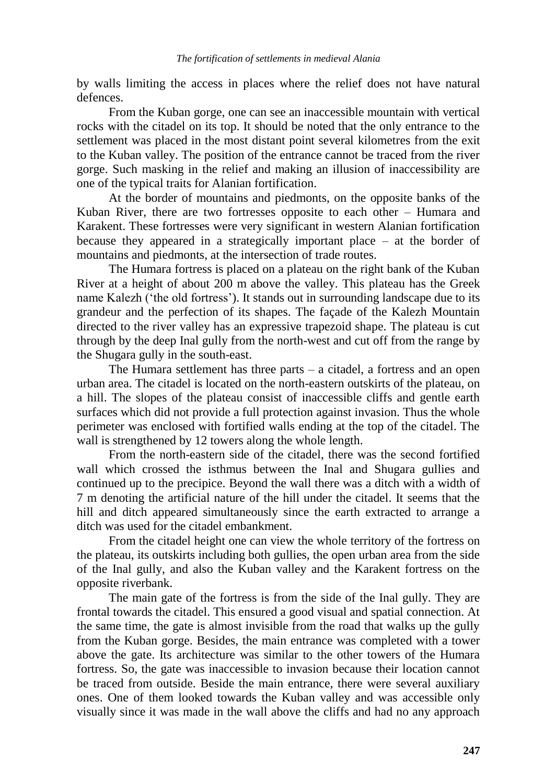by walls limiting the access in places where the relief does not have natural defences.

From the Kuban gorge, one can see an inaccessible mountain with vertical rocks with the citadel on its top. It should be noted that the only entrance to the settlement was placed in the most distant point several kilometres from the exit to the Kuban valley. The position of the entrance cannot be traced from the river gorge. Such masking in the relief and making an illusion of inaccessibility are one of the typical traits for Alanian fortification.

At the border of mountains and piedmonts, on the opposite banks of the Kuban River, there are two fortresses opposite to each other – Humara and Karakent. These fortresses were very significant in western Alanian fortification because they appeared in a strategically important place – at the border of mountains and piedmonts, at the intersection of trade routes.

The Humara fortress is placed on a plateau on the right bank of the Kuban River at a height of about 200 m above the valley. This plateau has the Greek name Kalezh ('the old fortress'). It stands out in surrounding landscape due to its grandeur and the perfection of its shapes. The façade of the Kalezh Mountain directed to the river valley has an expressive trapezoid shape. The plateau is cut through by the deep Inal gully from the north-west and cut off from the range by the Shugara gully in the south-east.

The Humara settlement has three parts – a citadel, a fortress and an open urban area. The citadel is located on the north-eastern outskirts of the plateau, on a hill. The slopes of the plateau consist of inaccessible cliffs and gentle earth surfaces which did not provide a full protection against invasion. Thus the whole perimeter was enclosed with fortified walls ending at the top of the citadel. The wall is strengthened by 12 towers along the whole length.

From the north-eastern side of the citadel, there was the second fortified wall which crossed the isthmus between the Inal and Shugara gullies and continued up to the precipice. Beyond the wall there was a ditch with a width of 7 m denoting the artificial nature of the hill under the citadel. It seems that the hill and ditch appeared simultaneously since the earth extracted to arrange a ditch was used for the citadel embankment.

From the citadel height one can view the whole territory of the fortress on the plateau, its outskirts including both gullies, the open urban area from the side of the Inal gully, and also the Kuban valley and the Karakent fortress on the opposite riverbank.

The main gate of the fortress is from the side of the Inal gully. They are frontal towards the citadel. This ensured a good visual and spatial connection. At the same time, the gate is almost invisible from the road that walks up the gully from the Kuban gorge. Besides, the main entrance was completed with a tower above the gate. Its architecture was similar to the other towers of the Humara fortress. So, the gate was inaccessible to invasion because their location cannot be traced from outside. Beside the main entrance, there were several auxiliary ones. One of them looked towards the Kuban valley and was accessible only visually since it was made in the wall above the cliffs and had no any approach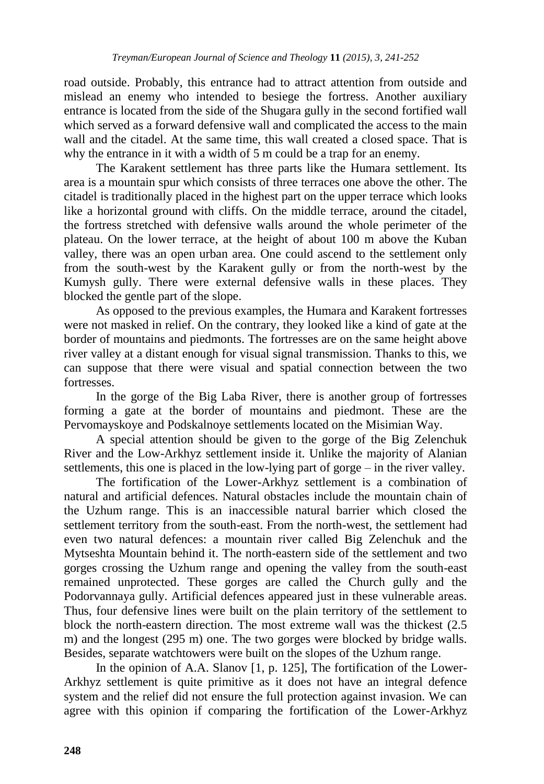road outside. Probably, this entrance had to attract attention from outside and mislead an enemy who intended to besiege the fortress. Another auxiliary entrance is located from the side of the Shugara gully in the second fortified wall which served as a forward defensive wall and complicated the access to the main wall and the citadel. At the same time, this wall created a closed space. That is why the entrance in it with a width of 5 m could be a trap for an enemy.

The Karakent settlement has three parts like the Humara settlement. Its area is a mountain spur which consists of three terraces one above the other. The citadel is traditionally placed in the highest part on the upper terrace which looks like a horizontal ground with cliffs. On the middle terrace, around the citadel, the fortress stretched with defensive walls around the whole perimeter of the plateau. On the lower terrace, at the height of about 100 m above the Kuban valley, there was an open urban area. One could ascend to the settlement only from the south-west by the Karakent gully or from the north-west by the Kumysh gully. There were external defensive walls in these places. They blocked the gentle part of the slope.

As opposed to the previous examples, the Humara and Karakent fortresses were not masked in relief. On the contrary, they looked like a kind of gate at the border of mountains and piedmonts. The fortresses are on the same height above river valley at a distant enough for visual signal transmission. Thanks to this, we can suppose that there were visual and spatial connection between the two fortresses.

In the gorge of the Big Laba River, there is another group of fortresses forming a gate at the border of mountains and piedmont. These are the Pervomayskoye and Podskalnoye settlements located on the Misimian Way.

A special attention should be given to the gorge of the Big Zelenchuk River and the Low-Arkhyz settlement inside it. Unlike the majority of Alanian settlements, this one is placed in the low-lying part of gorge – in the river valley.

The fortification of the Lower-Arkhyz settlement is a combination of natural and artificial defences. Natural obstacles include the mountain chain of the Uzhum range. This is an inaccessible natural barrier which closed the settlement territory from the south-east. From the north-west, the settlement had even two natural defences: a mountain river called Big Zelenchuk and the Mytseshta Mountain behind it. The north-eastern side of the settlement and two gorges crossing the Uzhum range and opening the valley from the south-east remained unprotected. These gorges are called the Church gully and the Podorvannaya gully. Artificial defences appeared just in these vulnerable areas. Thus, four defensive lines were built on the plain territory of the settlement to block the north-eastern direction. The most extreme wall was the thickest (2.5 m) and the longest (295 m) one. The two gorges were blocked by bridge walls. Besides, separate watchtowers were built on the slopes of the Uzhum range.

In the opinion of A.A. Slanov [1, p. 125]. The fortification of the Lower-Arkhyz settlement is quite primitive as it does not have an integral defence system and the relief did not ensure the full protection against invasion. We can agree with this opinion if comparing the fortification of the Lower-Arkhyz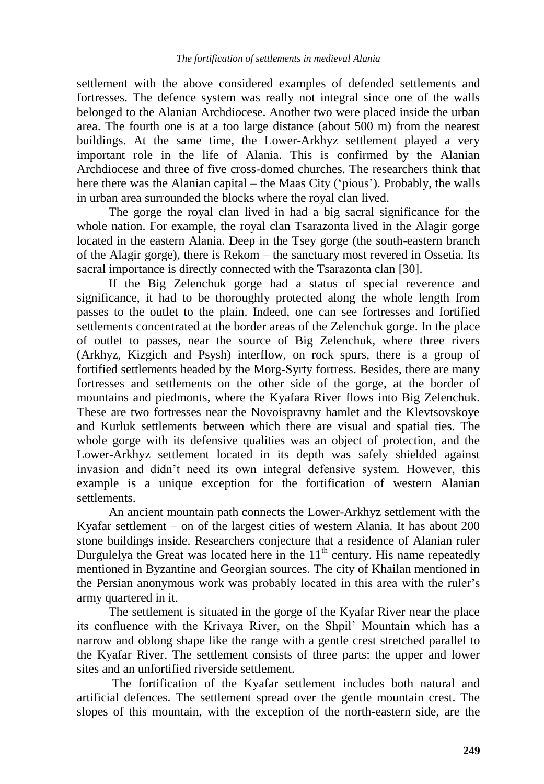settlement with the above considered examples of defended settlements and fortresses. The defence system was really not integral since one of the walls belonged to the Alanian Archdiocese. Another two were placed inside the urban area. The fourth one is at a too large distance (about 500 m) from the nearest buildings. At the same time, the Lower-Arkhyz settlement played a very important role in the life of Alania. This is confirmed by the Alanian Archdiocese and three of five cross-domed churches. The researchers think that here there was the Alanian capital – the Maas City ('pious'). Probably, the walls in urban area surrounded the blocks where the royal clan lived.

The gorge the royal clan lived in had a big sacral significance for the whole nation. For example, the royal clan Tsarazonta lived in the Alagir gorge located in the eastern Alania. Deep in the Tsey gorge (the south-eastern branch of the Alagir gorge), there is Rekom – the sanctuary most revered in Ossetia. Its sacral importance is directly connected with the Tsarazonta clan [30].

If the Big Zelenchuk gorge had a status of special reverence and significance, it had to be thoroughly protected along the whole length from passes to the outlet to the plain. Indeed, one can see fortresses and fortified settlements concentrated at the border areas of the Zelenchuk gorge. In the place of outlet to passes, near the source of Big Zelenchuk, where three rivers (Arkhyz, Kizgich and Psysh) interflow, on rock spurs, there is a group of fortified settlements headed by the Morg-Syrty fortress. Besides, there are many fortresses and settlements on the other side of the gorge, at the border of mountains and piedmonts, where the Kyafara River flows into Big Zelenchuk. These are two fortresses near the Novoispravny hamlet and the Klevtsovskoye and Kurluk settlements between which there are visual and spatial ties. The whole gorge with its defensive qualities was an object of protection, and the Lower-Arkhyz settlement located in its depth was safely shielded against invasion and didn't need its own integral defensive system. However, this example is a unique exception for the fortification of western Alanian settlements.

An ancient mountain path connects the Lower-Arkhyz settlement with the Kyafar settlement – on of the largest cities of western Alania. It has about 200 stone buildings inside. Researchers conjecture that a residence of Alanian ruler Durgulelya the Great was located here in the  $11<sup>th</sup>$  century. His name repeatedly mentioned in Byzantine and Georgian sources. The city of Khailan mentioned in the Persian anonymous work was probably located in this area with the ruler's army quartered in it.

The settlement is situated in the gorge of the Kyafar River near the place its confluence with the Krivaya River, on the Shpil' Mountain which has a narrow and oblong shape like the range with a gentle crest stretched parallel to the Kyafar River. The settlement consists of three parts: the upper and lower sites and an unfortified riverside settlement.

The fortification of the Kyafar settlement includes both natural and artificial defences. The settlement spread over the gentle mountain crest. The slopes of this mountain, with the exception of the north-eastern side, are the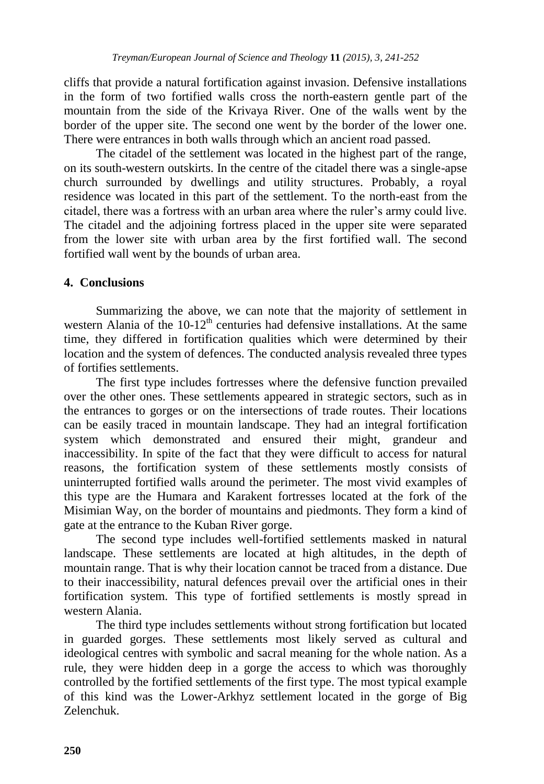cliffs that provide a natural fortification against invasion. Defensive installations in the form of two fortified walls cross the north-eastern gentle part of the mountain from the side of the Krivaya River. One of the walls went by the border of the upper site. The second one went by the border of the lower one. There were entrances in both walls through which an ancient road passed.

The citadel of the settlement was located in the highest part of the range, on its south-western outskirts. In the centre of the citadel there was a single-apse church surrounded by dwellings and utility structures. Probably, a royal residence was located in this part of the settlement. To the north-east from the citadel, there was a fortress with an urban area where the ruler's army could live. The citadel and the adjoining fortress placed in the upper site were separated from the lower site with urban area by the first fortified wall. The second fortified wall went by the bounds of urban area.

# **4. Conclusions**

Summarizing the above, we can note that the majority of settlement in western Alania of the  $10-12<sup>th</sup>$  centuries had defensive installations. At the same time, they differed in fortification qualities which were determined by their location and the system of defences. The conducted analysis revealed three types of fortifies settlements.

The first type includes fortresses where the defensive function prevailed over the other ones. These settlements appeared in strategic sectors, such as in the entrances to gorges or on the intersections of trade routes. Their locations can be easily traced in mountain landscape. They had an integral fortification system which demonstrated and ensured their might, grandeur and inaccessibility. In spite of the fact that they were difficult to access for natural reasons, the fortification system of these settlements mostly consists of uninterrupted fortified walls around the perimeter. The most vivid examples of this type are the Humara and Karakent fortresses located at the fork of the Misimian Way, on the border of mountains and piedmonts. They form a kind of gate at the entrance to the Kuban River gorge.

The second type includes well-fortified settlements masked in natural landscape. These settlements are located at high altitudes, in the depth of mountain range. That is why their location cannot be traced from a distance. Due to their inaccessibility, natural defences prevail over the artificial ones in their fortification system. This type of fortified settlements is mostly spread in western Alania.

The third type includes settlements without strong fortification but located in guarded gorges. These settlements most likely served as cultural and ideological centres with symbolic and sacral meaning for the whole nation. As a rule, they were hidden deep in a gorge the access to which was thoroughly controlled by the fortified settlements of the first type. The most typical example of this kind was the Lower-Arkhyz settlement located in the gorge of Big Zelenchuk.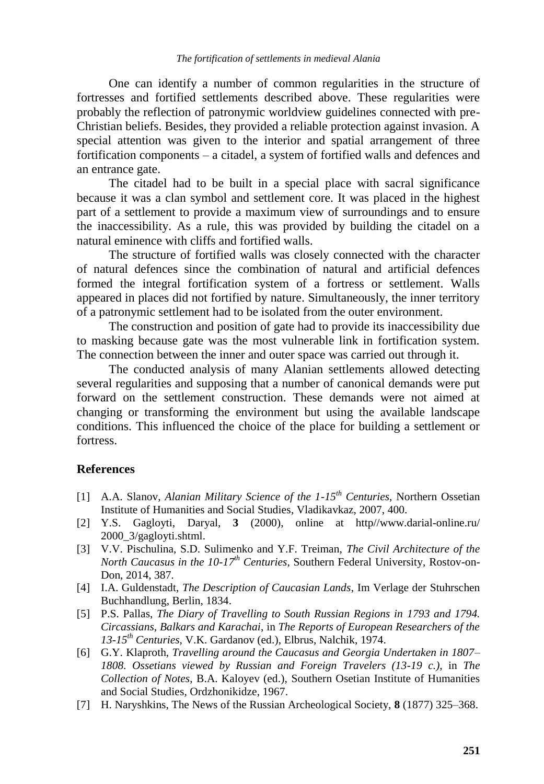One can identify a number of common regularities in the structure of fortresses and fortified settlements described above. These regularities were probably the reflection of patronymic worldview guidelines connected with pre-Christian beliefs. Besides, they provided a reliable protection against invasion. A special attention was given to the interior and spatial arrangement of three fortification components – a citadel, a system of fortified walls and defences and an entrance gate.

The citadel had to be built in a special place with sacral significance because it was a clan symbol and settlement core. It was placed in the highest part of a settlement to provide a maximum view of surroundings and to ensure the inaccessibility. As a rule, this was provided by building the citadel on a natural eminence with cliffs and fortified walls.

The structure of fortified walls was closely connected with the character of natural defences since the combination of natural and artificial defences formed the integral fortification system of a fortress or settlement. Walls appeared in places did not fortified by nature. Simultaneously, the inner territory of a patronymic settlement had to be isolated from the outer environment.

The construction and position of gate had to provide its inaccessibility due to masking because gate was the most vulnerable link in fortification system. The connection between the inner and outer space was carried out through it.

The conducted analysis of many Alanian settlements allowed detecting several regularities and supposing that a number of canonical demands were put forward on the settlement construction. These demands were not aimed at changing or transforming the environment but using the available landscape conditions. This influenced the choice of the place for building a settlement or fortress.

### **References**

- [1] A.A. Slanov, *Alanian Military Science of the 1-15th Centuries*, Northern Ossetian Institute of Humanities and Social Studies, Vladikavkaz, 2007, 400.
- [2] Y.S. Gagloyti, Daryal, **3** (2000), online at http//www.darial-online.ru/ 2000\_3/gagloyti.shtml.
- [3] V.V. Pischulina, S.D. Sulimenko and Y.F. Treiman, *The Civil Architecture of the North Caucasus in the 10-17th Centuries*, Southern Federal University, Rostov-on-Don, 2014, 387.
- [4] I.A. Guldenstadt, *The Description of Caucasian Lands*, Im Verlage der Stuhrschen Buchhandlung, Berlin, 1834.
- [5] P.S. Pallas, *The Diary of Travelling to South Russian Regions in 1793 and 1794. Circassians, Balkars and Karachai*, in *The Reports of European Researchers of the 13-15th Centuries*, V.K. Gardanov (ed.), Elbrus, Nalchik, 1974.
- [6] G.Y. Klaproth, *Travelling around the Caucasus and Georgia Undertaken in 1807– 1808. Ossetians viewed by Russian and Foreign Travelers (13-19 c.)*, in *The Collection of Notes*, B.A. Kaloyev (ed.), Southern Osetian Institute of Humanities and Social Studies, Ordzhonikidze, 1967.
- [7] H. Naryshkins, The News of the Russian Archeological Society, **8** (1877) 325–368.